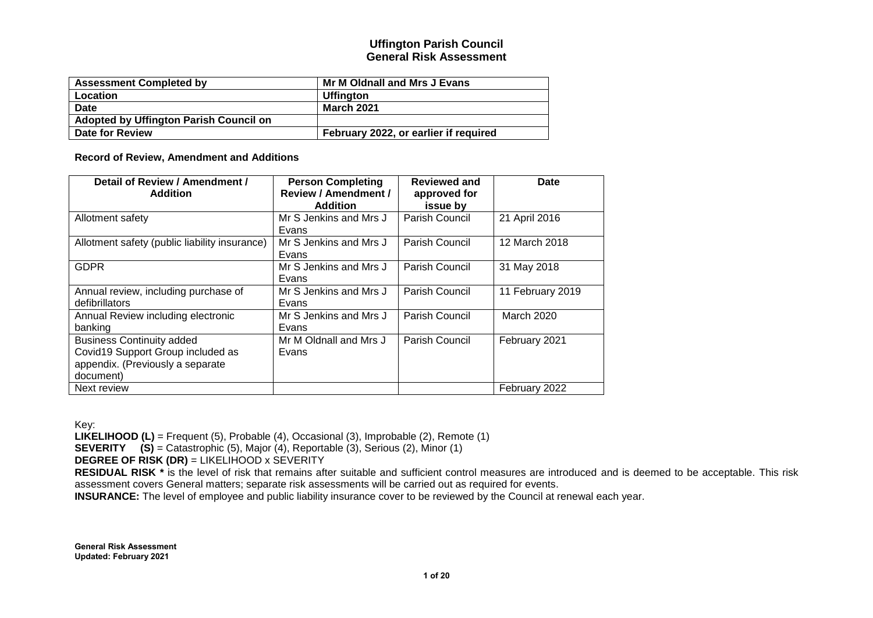| <b>Assessment Completed by</b>                | Mr M Oldnall and Mrs J Evans          |
|-----------------------------------------------|---------------------------------------|
| Location                                      | <b>Uffington</b>                      |
| Date                                          | <b>March 2021</b>                     |
| <b>Adopted by Uffington Parish Council on</b> |                                       |
| <b>Date for Review</b>                        | February 2022, or earlier if required |

**Record of Review, Amendment and Additions**

| Detail of Review / Amendment /<br><b>Addition</b>                                                                      | <b>Person Completing</b><br><b>Review / Amendment /</b><br><b>Addition</b> | <b>Reviewed and</b><br>approved for<br>issue by | Date              |
|------------------------------------------------------------------------------------------------------------------------|----------------------------------------------------------------------------|-------------------------------------------------|-------------------|
| Allotment safety                                                                                                       | Mr S Jenkins and Mrs J<br>Evans                                            | Parish Council                                  | 21 April 2016     |
| Allotment safety (public liability insurance)                                                                          | Mr S Jenkins and Mrs J<br>Evans                                            | <b>Parish Council</b>                           | 12 March 2018     |
| <b>GDPR</b>                                                                                                            | Mr S Jenkins and Mrs J<br>Evans                                            | <b>Parish Council</b>                           | 31 May 2018       |
| Annual review, including purchase of<br>defibrillators                                                                 | Mr S Jenkins and Mrs J<br>Evans                                            | <b>Parish Council</b>                           | 11 February 2019  |
| Annual Review including electronic<br>banking                                                                          | Mr S Jenkins and Mrs J<br>Evans                                            | <b>Parish Council</b>                           | <b>March 2020</b> |
| <b>Business Continuity added</b><br>Covid19 Support Group included as<br>appendix. (Previously a separate<br>document) | Mr M Oldnall and Mrs J<br>Evans                                            | Parish Council                                  | February 2021     |
| Next review                                                                                                            |                                                                            |                                                 | February 2022     |

Key:

**LIKELIHOOD (L)** = Frequent (5), Probable (4), Occasional (3), Improbable (2), Remote (1) **SEVERITY (S)** = Catastrophic (5), Major (4), Reportable (3), Serious (2), Minor (1) **DEGREE OF RISK (DR)** = LIKELIHOOD x SEVERITY **RESIDUAL RISK** \* is the level of risk that remains after suitable and sufficient control measures are introduced and is deemed to be acceptable. This risk

assessment covers General matters; separate risk assessments will be carried out as required for events.

**INSURANCE:** The level of employee and public liability insurance cover to be reviewed by the Council at renewal each year.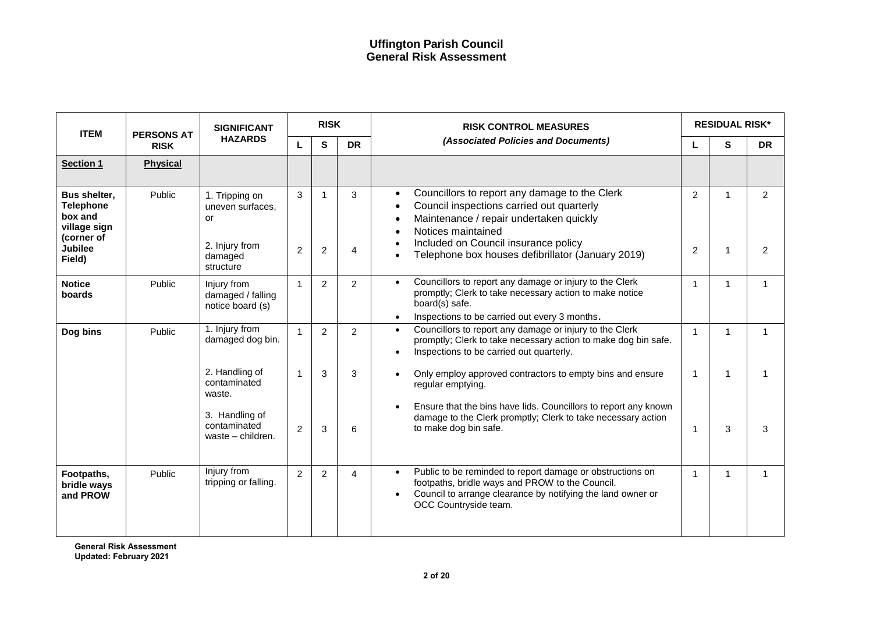| <b>ITEM</b>                                                                                           | <b>PERSONS AT</b> | <b>SIGNIFICANT</b>                                                                 |                     | <b>RISK</b>                  |                | <b>RISK CONTROL MEASURES</b>                                                                                                                                                                                                                                                       | <b>RESIDUAL RISK*</b> |        |                |  |  |
|-------------------------------------------------------------------------------------------------------|-------------------|------------------------------------------------------------------------------------|---------------------|------------------------------|----------------|------------------------------------------------------------------------------------------------------------------------------------------------------------------------------------------------------------------------------------------------------------------------------------|-----------------------|--------|----------------|--|--|
|                                                                                                       | <b>RISK</b>       | <b>HAZARDS</b>                                                                     |                     | S                            | <b>DR</b>      | (Associated Policies and Documents)                                                                                                                                                                                                                                                | L                     | S      | <b>DR</b>      |  |  |
| Section 1                                                                                             | <b>Physical</b>   |                                                                                    |                     |                              |                |                                                                                                                                                                                                                                                                                    |                       |        |                |  |  |
| Bus shelter,<br><b>Telephone</b><br>box and<br>village sign<br>(corner of<br><b>Jubilee</b><br>Field) | Public            | 1. Tripping on<br>uneven surfaces.<br>or<br>2. Injury from<br>damaged<br>structure | 3<br>$\overline{2}$ | $\overline{\mathbf{1}}$<br>2 | 3<br>4         | Councillors to report any damage to the Clerk<br>$\bullet$<br>Council inspections carried out quarterly<br>$\bullet$<br>Maintenance / repair undertaken quickly<br>Notices maintained<br>Included on Council insurance policy<br>Telephone box houses defibrillator (January 2019) | $\overline{2}$<br>2   | 1<br>1 | 2<br>2         |  |  |
| <b>Notice</b><br>boards                                                                               | Public            | Injury from<br>damaged / falling<br>notice board (s)                               | $\overline{1}$      | 2                            | $\overline{2}$ | Councillors to report any damage or injury to the Clerk<br>$\bullet$<br>promptly; Clerk to take necessary action to make notice<br>board(s) safe.<br>Inspections to be carried out every 3 months.<br>$\bullet$                                                                    |                       | 1      | -1             |  |  |
| Dog bins                                                                                              | Public            | 1. Injury from<br>damaged dog bin.                                                 | $\overline{1}$      | $\overline{2}$               | $\overline{2}$ | Councillors to report any damage or injury to the Clerk<br>$\bullet$<br>promptly; Clerk to take necessary action to make dog bin safe.<br>Inspections to be carried out quarterly.<br>$\bullet$                                                                                    | $\overline{1}$        |        | $\overline{1}$ |  |  |
|                                                                                                       |                   | 2. Handling of<br>contaminated<br>waste.                                           |                     | 3                            | 3              | Only employ approved contractors to empty bins and ensure<br>$\bullet$<br>regular emptying.                                                                                                                                                                                        | -1                    | 1      | -1             |  |  |
|                                                                                                       |                   | 3. Handling of<br>contaminated<br>waste - children.                                | $\overline{2}$      | 3                            | 6              | Ensure that the bins have lids. Councillors to report any known<br>damage to the Clerk promptly; Clerk to take necessary action<br>to make dog bin safe.                                                                                                                           | -1                    | 3      | 3              |  |  |
| Footpaths,<br>bridle ways<br>and PROW                                                                 | Public            | Injury from<br>tripping or falling.                                                | $\overline{2}$      | $\overline{2}$               | 4              | Public to be reminded to report damage or obstructions on<br>$\bullet$<br>footpaths, bridle ways and PROW to the Council.<br>Council to arrange clearance by notifying the land owner or<br>OCC Countryside team.                                                                  | -1                    | 1      | -1             |  |  |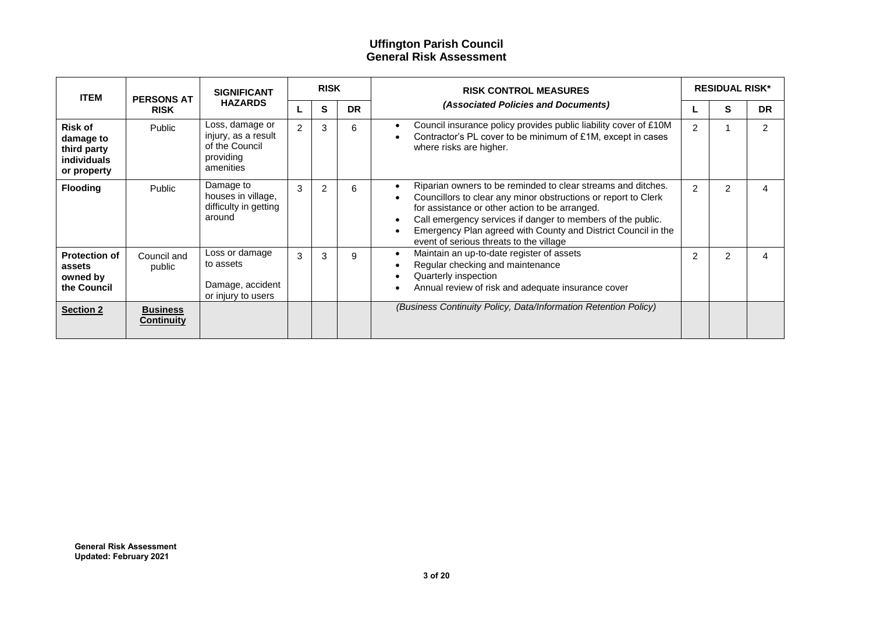| <b>ITEM</b>                                                              | <b>PERSONS AT</b>             | <b>SIGNIFICANT</b>                                                                 |               | <b>RISK</b>   |           | <b>RISK CONTROL MEASURES</b>                                                                                                                                                                                                                                                                                                                                | <b>RESIDUAL RISK*</b> |  |                |  |
|--------------------------------------------------------------------------|-------------------------------|------------------------------------------------------------------------------------|---------------|---------------|-----------|-------------------------------------------------------------------------------------------------------------------------------------------------------------------------------------------------------------------------------------------------------------------------------------------------------------------------------------------------------------|-----------------------|--|----------------|--|
|                                                                          | <b>RISK</b>                   | <b>HAZARDS</b>                                                                     |               | S             | <b>DR</b> | (Associated Policies and Documents)                                                                                                                                                                                                                                                                                                                         |                       |  | <b>DR</b>      |  |
| <b>Risk of</b><br>damage to<br>third party<br>individuals<br>or property | Public                        | Loss, damage or<br>injury, as a result<br>of the Council<br>providing<br>amenities | $\mathcal{P}$ | 3             | 6         | Council insurance policy provides public liability cover of £10M<br>Contractor's PL cover to be minimum of £1M, except in cases<br>where risks are higher.                                                                                                                                                                                                  | $\overline{2}$        |  | $\mathfrak{p}$ |  |
| <b>Flooding</b>                                                          | Public                        | Damage to<br>houses in village,<br>difficulty in getting<br>around                 | $\mathcal{R}$ | $\mathcal{P}$ | 6         | Riparian owners to be reminded to clear streams and ditches.<br>Councillors to clear any minor obstructions or report to Clerk<br>for assistance or other action to be arranged.<br>Call emergency services if danger to members of the public.<br>Emergency Plan agreed with County and District Council in the<br>event of serious threats to the village | $\overline{2}$        |  |                |  |
| <b>Protection of</b><br>assets<br>owned by<br>the Council                | Council and<br>public         | Loss or damage<br>to assets<br>Damage, accident<br>or injury to users              | 3             | 3             | 9         | Maintain an up-to-date register of assets<br>Regular checking and maintenance<br>Quarterly inspection<br>Annual review of risk and adequate insurance cover                                                                                                                                                                                                 | 2                     |  |                |  |
| <b>Section 2</b>                                                         | <b>Business</b><br>Continuity |                                                                                    |               |               |           | (Business Continuity Policy, Data/Information Retention Policy)                                                                                                                                                                                                                                                                                             |                       |  |                |  |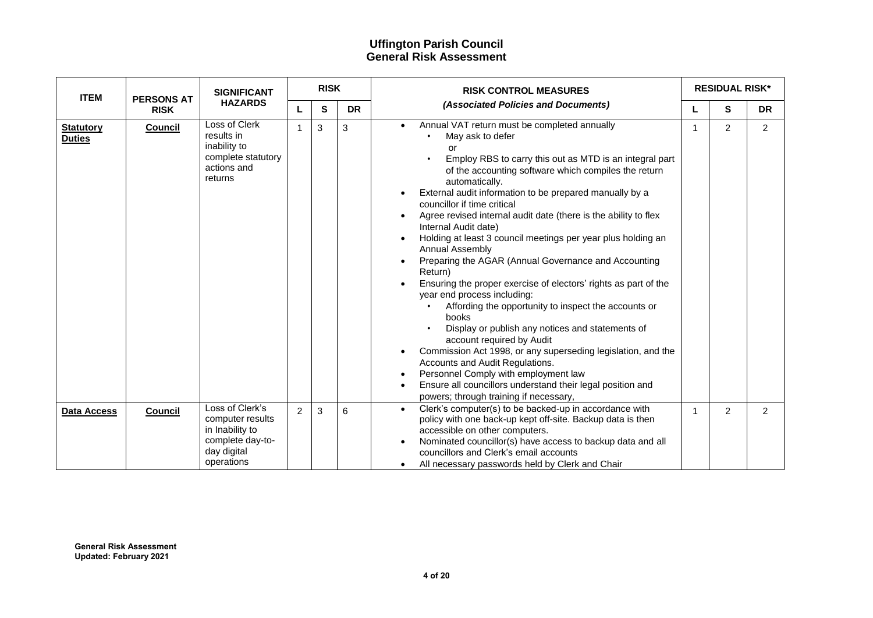| <b>ITEM</b>                       | <b>PERSONS AT</b> | <b>SIGNIFICANT</b>                                                                                      |                | <b>RISK</b> |           | <b>RISK CONTROL MEASURES</b>                                                                                                                                                                                                                                                                                                                                                                                                                                                                                                                                                                                                                                                                                                                                                                                                                                                                                                                                                                                                                                                                                                                                          | <b>RESIDUAL RISK*</b> |                |                |  |  |
|-----------------------------------|-------------------|---------------------------------------------------------------------------------------------------------|----------------|-------------|-----------|-----------------------------------------------------------------------------------------------------------------------------------------------------------------------------------------------------------------------------------------------------------------------------------------------------------------------------------------------------------------------------------------------------------------------------------------------------------------------------------------------------------------------------------------------------------------------------------------------------------------------------------------------------------------------------------------------------------------------------------------------------------------------------------------------------------------------------------------------------------------------------------------------------------------------------------------------------------------------------------------------------------------------------------------------------------------------------------------------------------------------------------------------------------------------|-----------------------|----------------|----------------|--|--|
|                                   | <b>RISK</b>       | <b>HAZARDS</b>                                                                                          |                | ${\bf S}$   | <b>DR</b> | (Associated Policies and Documents)                                                                                                                                                                                                                                                                                                                                                                                                                                                                                                                                                                                                                                                                                                                                                                                                                                                                                                                                                                                                                                                                                                                                   | L                     | S.             | <b>DR</b>      |  |  |
| <b>Statutory</b><br><b>Duties</b> | Council           | Loss of Clerk<br>results in<br>inability to<br>complete statutory<br>actions and<br>returns             |                | 3           | 3         | Annual VAT return must be completed annually<br>$\bullet$<br>May ask to defer<br>or<br>Employ RBS to carry this out as MTD is an integral part<br>of the accounting software which compiles the return<br>automatically.<br>External audit information to be prepared manually by a<br>$\bullet$<br>councillor if time critical<br>Agree revised internal audit date (there is the ability to flex<br>$\bullet$<br>Internal Audit date)<br>Holding at least 3 council meetings per year plus holding an<br>$\bullet$<br>Annual Assembly<br>Preparing the AGAR (Annual Governance and Accounting<br>$\bullet$<br>Return)<br>Ensuring the proper exercise of electors' rights as part of the<br>$\bullet$<br>year end process including:<br>Affording the opportunity to inspect the accounts or<br>books<br>Display or publish any notices and statements of<br>account required by Audit<br>Commission Act 1998, or any superseding legislation, and the<br>$\bullet$<br>Accounts and Audit Regulations.<br>Personnel Comply with employment law<br>$\bullet$<br>Ensure all councillors understand their legal position and<br>powers; through training if necessary, |                       | 2              | 2              |  |  |
| <b>Data Access</b>                | <b>Council</b>    | Loss of Clerk's<br>computer results<br>in Inability to<br>complete day-to-<br>day digital<br>operations | $\overline{2}$ | 3           | 6         | Clerk's computer(s) to be backed-up in accordance with<br>$\bullet$<br>policy with one back-up kept off-site. Backup data is then<br>accessible on other computers.<br>Nominated councillor(s) have access to backup data and all<br>$\bullet$<br>councillors and Clerk's email accounts<br>All necessary passwords held by Clerk and Chair                                                                                                                                                                                                                                                                                                                                                                                                                                                                                                                                                                                                                                                                                                                                                                                                                           | 1                     | $\overline{2}$ | $\overline{2}$ |  |  |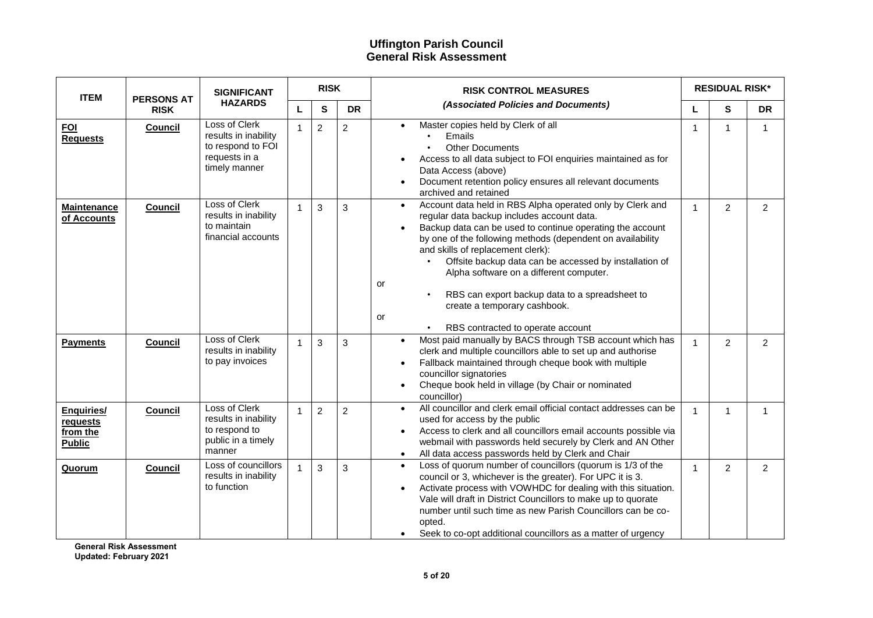| <b>ITEM</b>                                                | <b>PERSONS AT</b> | <b>SIGNIFICANT</b>                                                                           |                | <b>RISK</b>    |                | <b>RISK CONTROL MEASURES</b>                                                                                                                                                                                                                                                                                                                                                                                                                                                                                                 | <b>RESIDUAL RISK*</b> |                |                |  |  |
|------------------------------------------------------------|-------------------|----------------------------------------------------------------------------------------------|----------------|----------------|----------------|------------------------------------------------------------------------------------------------------------------------------------------------------------------------------------------------------------------------------------------------------------------------------------------------------------------------------------------------------------------------------------------------------------------------------------------------------------------------------------------------------------------------------|-----------------------|----------------|----------------|--|--|
|                                                            | <b>RISK</b>       | <b>HAZARDS</b>                                                                               | L              | ${\bf S}$      | <b>DR</b>      | (Associated Policies and Documents)                                                                                                                                                                                                                                                                                                                                                                                                                                                                                          | L                     | S              | <b>DR</b>      |  |  |
| <b>FOI</b><br><b>Requests</b>                              | Council           | Loss of Clerk<br>results in inability<br>to respond to FOI<br>requests in a<br>timely manner |                | $\overline{c}$ | $\overline{c}$ | Master copies held by Clerk of all<br>$\bullet$<br>Emails<br><b>Other Documents</b><br>Access to all data subject to FOI enquiries maintained as for<br>$\bullet$<br>Data Access (above)<br>Document retention policy ensures all relevant documents<br>$\bullet$<br>archived and retained                                                                                                                                                                                                                                   |                       | 1              | 1              |  |  |
| <b>Maintenance</b><br>of Accounts                          | <b>Council</b>    | Loss of Clerk<br>results in inability<br>to maintain<br>financial accounts                   | $\overline{1}$ | 3              | 3              | Account data held in RBS Alpha operated only by Clerk and<br>$\bullet$<br>regular data backup includes account data.<br>Backup data can be used to continue operating the account<br>by one of the following methods (dependent on availability<br>and skills of replacement clerk):<br>Offsite backup data can be accessed by installation of<br>Alpha software on a different computer.<br>or<br>RBS can export backup data to a spreadsheet to<br>create a temporary cashbook.<br>or<br>RBS contracted to operate account | $\mathbf{1}$          | $\overline{2}$ | 2              |  |  |
| <b>Payments</b>                                            | Council           | Loss of Clerk<br>results in inability<br>to pay invoices                                     | $\overline{1}$ | 3              | 3              | Most paid manually by BACS through TSB account which has<br>$\bullet$<br>clerk and multiple councillors able to set up and authorise<br>Fallback maintained through cheque book with multiple<br>$\bullet$<br>councillor signatories<br>Cheque book held in village (by Chair or nominated<br>councillor)                                                                                                                                                                                                                    | $\mathbf{1}$          | $\mathcal{P}$  | $\overline{2}$ |  |  |
| <b>Enquiries/</b><br>requests<br>from the<br><b>Public</b> | Council           | Loss of Clerk<br>results in inability<br>to respond to<br>public in a timely<br>manner       | $\overline{1}$ | $\overline{c}$ | $\overline{2}$ | All councillor and clerk email official contact addresses can be<br>$\bullet$<br>used for access by the public<br>Access to clerk and all councillors email accounts possible via<br>$\bullet$<br>webmail with passwords held securely by Clerk and AN Other<br>All data access passwords held by Clerk and Chair<br>$\bullet$                                                                                                                                                                                               | $\mathbf{1}$          | 1              | $\mathbf{1}$   |  |  |
| Quorum                                                     | <b>Council</b>    | Loss of councillors<br>results in inability<br>to function                                   |                | 3              | 3              | Loss of quorum number of councillors (quorum is 1/3 of the<br>council or 3, whichever is the greater). For UPC it is 3.<br>Activate process with VOWHDC for dealing with this situation.<br>Vale will draft in District Councillors to make up to quorate<br>number until such time as new Parish Councillors can be co-<br>opted.<br>Seek to co-opt additional councillors as a matter of urgency<br>$\bullet$                                                                                                              | 1                     | $\overline{2}$ | 2              |  |  |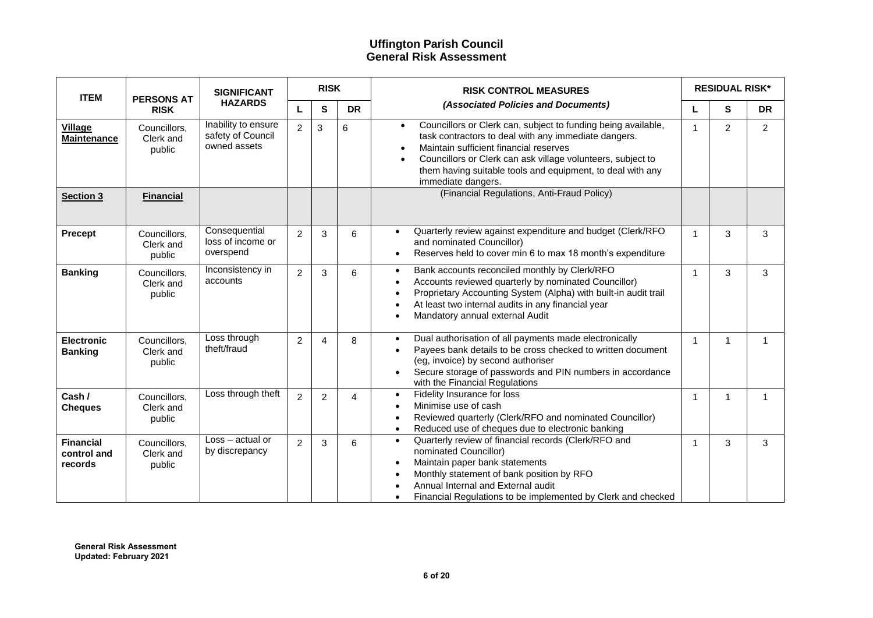| <b>ITEM</b>                                | <b>PERSONS AT</b>                   | <b>SIGNIFICANT</b><br><b>HAZARDS</b>                     |                | <b>RISK</b>    |           | <b>RISK CONTROL MEASURES</b>                                                                                                                                                                                                                                                                                                                              | <b>RESIDUAL RISK*</b> |                |           |  |
|--------------------------------------------|-------------------------------------|----------------------------------------------------------|----------------|----------------|-----------|-----------------------------------------------------------------------------------------------------------------------------------------------------------------------------------------------------------------------------------------------------------------------------------------------------------------------------------------------------------|-----------------------|----------------|-----------|--|
|                                            | <b>RISK</b>                         |                                                          |                | $\mathbf{s}$   | <b>DR</b> | (Associated Policies and Documents)                                                                                                                                                                                                                                                                                                                       | L                     | S              | <b>DR</b> |  |
| <b>Village</b><br><b>Maintenance</b>       | Councillors,<br>Clerk and<br>public | Inability to ensure<br>safety of Council<br>owned assets | $\overline{2}$ | 3              | 6         | Councillors or Clerk can, subject to funding being available,<br>$\bullet$<br>task contractors to deal with any immediate dangers.<br>Maintain sufficient financial reserves<br>$\bullet$<br>Councillors or Clerk can ask village volunteers, subject to<br>$\bullet$<br>them having suitable tools and equipment, to deal with any<br>immediate dangers. | -1                    | $\overline{2}$ | 2         |  |
| <b>Section 3</b>                           | <b>Financial</b>                    |                                                          |                |                |           | (Financial Regulations, Anti-Fraud Policy)                                                                                                                                                                                                                                                                                                                |                       |                |           |  |
| Precept                                    | Councillors,<br>Clerk and<br>public | Consequential<br>loss of income or<br>overspend          | 2              | 3              | 6         | Quarterly review against expenditure and budget (Clerk/RFO<br>$\bullet$<br>and nominated Councillor)<br>Reserves held to cover min 6 to max 18 month's expenditure<br>$\bullet$                                                                                                                                                                           | 1                     | 3              | 3         |  |
| <b>Banking</b>                             | Councillors,<br>Clerk and<br>public | Inconsistency in<br>accounts                             | $\overline{2}$ | 3              | 6         | Bank accounts reconciled monthly by Clerk/RFO<br>Accounts reviewed quarterly by nominated Councillor)<br>Proprietary Accounting System (Alpha) with built-in audit trail<br>At least two internal audits in any financial year<br>Mandatory annual external Audit                                                                                         | -1                    | 3              | 3         |  |
| <b>Electronic</b><br><b>Banking</b>        | Councillors,<br>Clerk and<br>public | Loss through<br>theft/fraud                              | $\overline{2}$ | $\overline{4}$ | 8         | Dual authorisation of all payments made electronically<br>$\bullet$<br>Payees bank details to be cross checked to written document<br>(eg, invoice) by second authoriser<br>Secure storage of passwords and PIN numbers in accordance<br>with the Financial Regulations                                                                                   | -1                    |                | -1        |  |
| Cash /<br><b>Cheques</b>                   | Councillors,<br>Clerk and<br>public | Loss through theft                                       | $\overline{2}$ | $\overline{2}$ | 4         | Fidelity Insurance for loss<br>Minimise use of cash<br>Reviewed quarterly (Clerk/RFO and nominated Councillor)<br>Reduced use of cheques due to electronic banking<br>$\bullet$                                                                                                                                                                           | 1                     |                | -1        |  |
| <b>Financial</b><br>control and<br>records | Councillors.<br>Clerk and<br>public | $Loss - actual or$<br>by discrepancy                     | 2              | 3              | 6         | Quarterly review of financial records (Clerk/RFO and<br>$\bullet$<br>nominated Councillor)<br>Maintain paper bank statements<br>Monthly statement of bank position by RFO<br>Annual Internal and External audit<br>Financial Regulations to be implemented by Clerk and checked                                                                           |                       | 3              | 3         |  |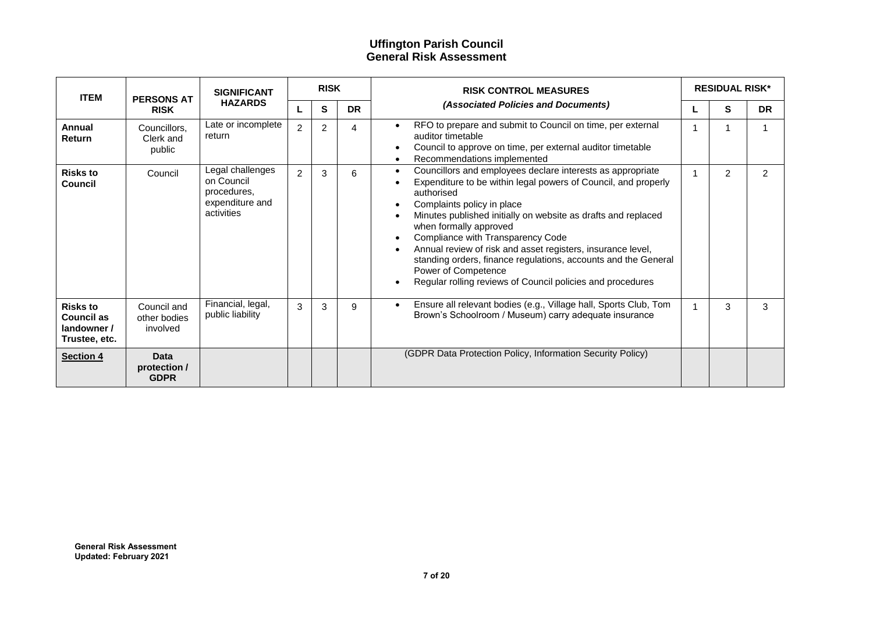| <b>ITEM</b>                                                   | <b>PERSONS AT</b>                       | <b>SIGNIFICANT</b>                                                             |                | <b>RISK</b>    |           | <b>RISK CONTROL MEASURES</b>                                                                                                                                                                                                                                                                                                                                                                                                                                                                                                   | <b>RESIDUAL RISK*</b> |               |                |  |
|---------------------------------------------------------------|-----------------------------------------|--------------------------------------------------------------------------------|----------------|----------------|-----------|--------------------------------------------------------------------------------------------------------------------------------------------------------------------------------------------------------------------------------------------------------------------------------------------------------------------------------------------------------------------------------------------------------------------------------------------------------------------------------------------------------------------------------|-----------------------|---------------|----------------|--|
|                                                               | <b>RISK</b>                             | <b>HAZARDS</b>                                                                 |                | S              | <b>DR</b> | (Associated Policies and Documents)                                                                                                                                                                                                                                                                                                                                                                                                                                                                                            | L                     | s             | <b>DR</b>      |  |
| Annual<br>Return                                              | Councillors,<br>Clerk and<br>public     | Late or incomplete<br>return                                                   | $\mathfrak{D}$ | $\overline{2}$ | 4         | RFO to prepare and submit to Council on time, per external<br>auditor timetable<br>Council to approve on time, per external auditor timetable<br>Recommendations implemented                                                                                                                                                                                                                                                                                                                                                   |                       |               |                |  |
| <b>Risks to</b><br><b>Council</b>                             | Council                                 | Legal challenges<br>on Council<br>procedures,<br>expenditure and<br>activities | $\mathfrak{D}$ | 3              | 6         | Councillors and employees declare interests as appropriate<br>Expenditure to be within legal powers of Council, and properly<br>authorised<br>Complaints policy in place<br>Minutes published initially on website as drafts and replaced<br>when formally approved<br>Compliance with Transparency Code<br>Annual review of risk and asset registers, insurance level,<br>standing orders, finance regulations, accounts and the General<br>Power of Competence<br>Regular rolling reviews of Council policies and procedures |                       | $\mathcal{P}$ | $\mathfrak{p}$ |  |
| <b>Risks to</b><br>Council as<br>landowner /<br>Trustee, etc. | Council and<br>other bodies<br>involved | Financial, legal,<br>public liability                                          | $\mathcal{S}$  | 3              | 9         | Ensure all relevant bodies (e.g., Village hall, Sports Club, Tom<br>Brown's Schoolroom / Museum) carry adequate insurance                                                                                                                                                                                                                                                                                                                                                                                                      |                       | 3             | 3              |  |
| Section 4                                                     | Data<br>protection /<br><b>GDPR</b>     |                                                                                |                |                |           | (GDPR Data Protection Policy, Information Security Policy)                                                                                                                                                                                                                                                                                                                                                                                                                                                                     |                       |               |                |  |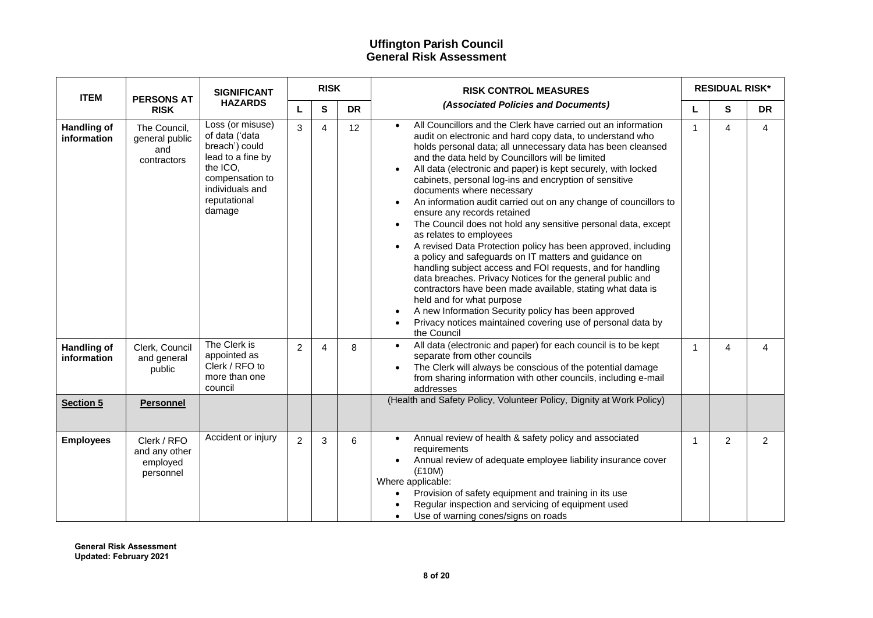| <b>ITEM</b>                                           | <b>PERSONS AT</b>                                           | <b>SIGNIFICANT</b>                                                                                                                                    |                | <b>RISK</b>    |           | <b>RISK CONTROL MEASURES</b>                                                                                                                                                                                                                                                                                                                                                                                                                                                                                                                                                                                                                                                                                                                                                                                                                                                                                                                                                                                                                                                                                                     | <b>RESIDUAL RISK*</b> |                |                |  |
|-------------------------------------------------------|-------------------------------------------------------------|-------------------------------------------------------------------------------------------------------------------------------------------------------|----------------|----------------|-----------|----------------------------------------------------------------------------------------------------------------------------------------------------------------------------------------------------------------------------------------------------------------------------------------------------------------------------------------------------------------------------------------------------------------------------------------------------------------------------------------------------------------------------------------------------------------------------------------------------------------------------------------------------------------------------------------------------------------------------------------------------------------------------------------------------------------------------------------------------------------------------------------------------------------------------------------------------------------------------------------------------------------------------------------------------------------------------------------------------------------------------------|-----------------------|----------------|----------------|--|
|                                                       | <b>RISK</b>                                                 | <b>HAZARDS</b>                                                                                                                                        | L              | S              | <b>DR</b> | (Associated Policies and Documents)                                                                                                                                                                                                                                                                                                                                                                                                                                                                                                                                                                                                                                                                                                                                                                                                                                                                                                                                                                                                                                                                                              | L                     | S              | <b>DR</b>      |  |
| <b>Handling of</b><br>information                     | The Council,<br>general public<br>and<br>contractors        | Loss (or misuse)<br>of data ('data<br>breach') could<br>lead to a fine by<br>the ICO,<br>compensation to<br>individuals and<br>reputational<br>damage | 3              | $\overline{4}$ | 12        | All Councillors and the Clerk have carried out an information<br>$\bullet$<br>audit on electronic and hard copy data, to understand who<br>holds personal data; all unnecessary data has been cleansed<br>and the data held by Councillors will be limited<br>All data (electronic and paper) is kept securely, with locked<br>cabinets, personal log-ins and encryption of sensitive<br>documents where necessary<br>An information audit carried out on any change of councillors to<br>ensure any records retained<br>The Council does not hold any sensitive personal data, except<br>$\bullet$<br>as relates to employees<br>A revised Data Protection policy has been approved, including<br>a policy and safeguards on IT matters and guidance on<br>handling subject access and FOI requests, and for handling<br>data breaches. Privacy Notices for the general public and<br>contractors have been made available, stating what data is<br>held and for what purpose<br>A new Information Security policy has been approved<br>Privacy notices maintained covering use of personal data by<br>$\bullet$<br>the Council | 1                     | 4              | $\overline{4}$ |  |
| <b>Handling of</b><br>information<br><b>Section 5</b> | Clerk, Council<br>and general<br>public<br><b>Personnel</b> | The Clerk is<br>appointed as<br>Clerk / RFO to<br>more than one<br>council                                                                            | $\overline{2}$ | $\overline{4}$ | 8         | All data (electronic and paper) for each council is to be kept<br>$\bullet$<br>separate from other councils<br>The Clerk will always be conscious of the potential damage<br>from sharing information with other councils, including e-mail<br>addresses<br>(Health and Safety Policy, Volunteer Policy, Dignity at Work Policy)                                                                                                                                                                                                                                                                                                                                                                                                                                                                                                                                                                                                                                                                                                                                                                                                 | $\overline{1}$        | 4              | $\overline{4}$ |  |
|                                                       |                                                             |                                                                                                                                                       |                |                |           |                                                                                                                                                                                                                                                                                                                                                                                                                                                                                                                                                                                                                                                                                                                                                                                                                                                                                                                                                                                                                                                                                                                                  |                       |                |                |  |
| <b>Employees</b>                                      | Clerk / RFO<br>and any other<br>employed<br>personnel       | Accident or injury                                                                                                                                    | $\overline{2}$ | 3              | 6         | Annual review of health & safety policy and associated<br>$\bullet$<br>requirements<br>Annual review of adequate employee liability insurance cover<br>$\bullet$<br>(E10M)<br>Where applicable:<br>Provision of safety equipment and training in its use<br>Regular inspection and servicing of equipment used<br>Use of warning cones/signs on roads                                                                                                                                                                                                                                                                                                                                                                                                                                                                                                                                                                                                                                                                                                                                                                            | 1                     | $\overline{2}$ | $\overline{2}$ |  |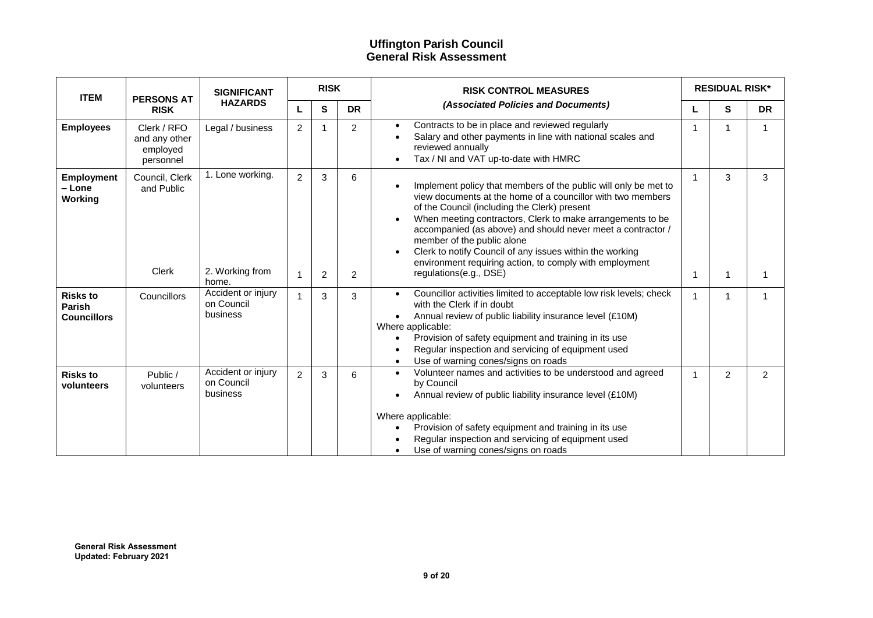| <b>ITEM</b>                                            |                                                       | <b>SIGNIFICANT</b><br><b>HAZARDS</b>         |                | <b>RISK</b>         |                | <b>RISK CONTROL MEASURES</b>                                                                                                                                                                                                                                                                                                                                                                                                                                                               | <b>RESIDUAL RISK*</b> |                |           |  |
|--------------------------------------------------------|-------------------------------------------------------|----------------------------------------------|----------------|---------------------|----------------|--------------------------------------------------------------------------------------------------------------------------------------------------------------------------------------------------------------------------------------------------------------------------------------------------------------------------------------------------------------------------------------------------------------------------------------------------------------------------------------------|-----------------------|----------------|-----------|--|
|                                                        | <b>PERSONS AT</b><br><b>RISK</b>                      |                                              |                | $\mathbf{s}$        | <b>DR</b>      | (Associated Policies and Documents)                                                                                                                                                                                                                                                                                                                                                                                                                                                        | L                     | S              | <b>DR</b> |  |
| <b>Employees</b>                                       | Clerk / RFO<br>and any other<br>employed<br>personnel | Legal / business                             | $\overline{2}$ |                     | $\overline{2}$ | Contracts to be in place and reviewed regularly<br>$\bullet$<br>Salary and other payments in line with national scales and<br>reviewed annually<br>Tax / NI and VAT up-to-date with HMRC                                                                                                                                                                                                                                                                                                   |                       |                |           |  |
| <b>Employment</b><br>– Lone<br>Working                 | Council, Clerk<br>and Public<br><b>Clerk</b>          | 1. Lone working.<br>2. Working from<br>home. | $\overline{2}$ | 3<br>$\overline{2}$ | 6<br>2         | Implement policy that members of the public will only be met to<br>view documents at the home of a councillor with two members<br>of the Council (including the Clerk) present<br>When meeting contractors, Clerk to make arrangements to be<br>accompanied (as above) and should never meet a contractor /<br>member of the public alone<br>Clerk to notify Council of any issues within the working<br>environment requiring action, to comply with employment<br>regulations(e.g., DSE) |                       | 3              | 3         |  |
| <b>Risks to</b><br><b>Parish</b><br><b>Councillors</b> | Councillors                                           | Accident or injury<br>on Council<br>business |                | 3                   | 3              | Councillor activities limited to acceptable low risk levels; check<br>with the Clerk if in doubt<br>Annual review of public liability insurance level (£10M)<br>Where applicable:<br>Provision of safety equipment and training in its use<br>$\bullet$<br>Regular inspection and servicing of equipment used<br>Use of warning cones/signs on roads                                                                                                                                       |                       |                |           |  |
| <b>Risks to</b><br>volunteers                          | Public /<br>volunteers                                | Accident or injury<br>on Council<br>business | $\overline{2}$ | 3                   | 6              | Volunteer names and activities to be understood and agreed<br>$\bullet$<br>by Council<br>Annual review of public liability insurance level (£10M)<br>Where applicable:<br>Provision of safety equipment and training in its use<br>Regular inspection and servicing of equipment used<br>Use of warning cones/signs on roads                                                                                                                                                               |                       | $\overline{2}$ | 2         |  |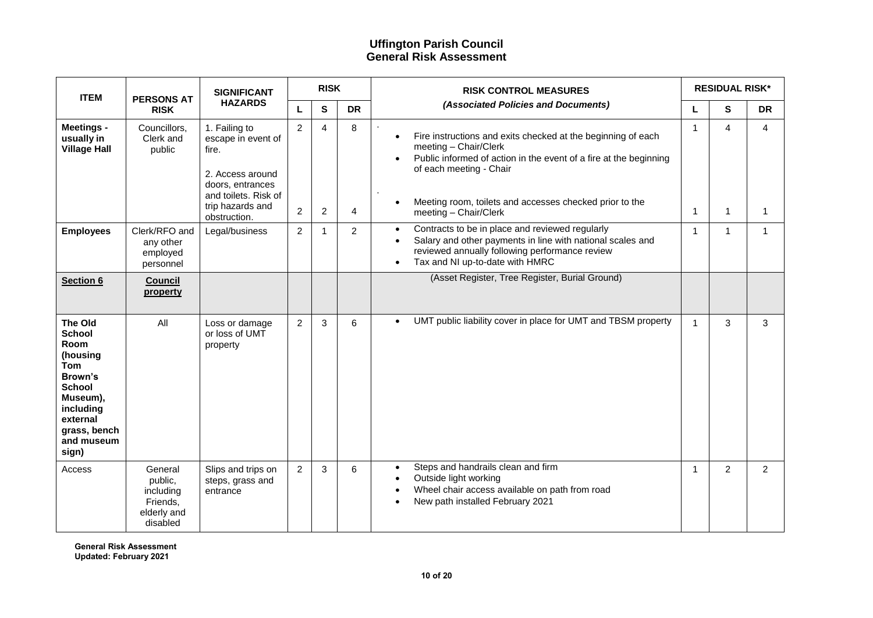| <b>ITEM</b>                                                                                                                                                               | <b>PERSONS AT</b>                                                      | <b>SIGNIFICANT</b>                                                                                                                               |                                  | <b>RISK</b>         |                | <b>RISK CONTROL MEASURES</b>                                                                                                                                                                                                                                                                                     | <b>RESIDUAL RISK*</b> |                |                      |  |  |
|---------------------------------------------------------------------------------------------------------------------------------------------------------------------------|------------------------------------------------------------------------|--------------------------------------------------------------------------------------------------------------------------------------------------|----------------------------------|---------------------|----------------|------------------------------------------------------------------------------------------------------------------------------------------------------------------------------------------------------------------------------------------------------------------------------------------------------------------|-----------------------|----------------|----------------------|--|--|
|                                                                                                                                                                           | <b>RISK</b>                                                            | <b>HAZARDS</b>                                                                                                                                   | L                                | ${\bf s}$           | <b>DR</b>      | (Associated Policies and Documents)                                                                                                                                                                                                                                                                              | L                     | S              | <b>DR</b>            |  |  |
| Meetings -<br>usually in<br><b>Village Hall</b>                                                                                                                           | Councillors,<br>Clerk and<br>public                                    | 1. Failing to<br>escape in event of<br>fire.<br>2. Access around<br>doors, entrances<br>and toilets. Risk of<br>trip hazards and<br>obstruction. | $\overline{2}$<br>$\overline{2}$ | $\overline{4}$<br>2 | 8<br>4         | Fire instructions and exits checked at the beginning of each<br>$\bullet$<br>meeting - Chair/Clerk<br>Public informed of action in the event of a fire at the beginning<br>$\bullet$<br>of each meeting - Chair<br>Meeting room, toilets and accesses checked prior to the<br>$\bullet$<br>meeting - Chair/Clerk | 1<br>-1               | Δ<br>-1        | $\overline{4}$<br>-1 |  |  |
| <b>Employees</b>                                                                                                                                                          | Clerk/RFO and<br>any other<br>employed<br>personnel                    | Legal/business                                                                                                                                   | $\overline{2}$                   | $\overline{1}$      | $\overline{2}$ | Contracts to be in place and reviewed regularly<br>$\bullet$<br>Salary and other payments in line with national scales and<br>$\bullet$<br>reviewed annually following performance review<br>Tax and NI up-to-date with HMRC<br>$\bullet$                                                                        | $\mathbf{1}$          | 1              | $\overline{1}$       |  |  |
| Section 6                                                                                                                                                                 | <b>Council</b><br>property                                             |                                                                                                                                                  |                                  |                     |                | (Asset Register, Tree Register, Burial Ground)                                                                                                                                                                                                                                                                   |                       |                |                      |  |  |
| <b>The Old</b><br><b>School</b><br>Room<br>(housing<br><b>Tom</b><br>Brown's<br><b>School</b><br>Museum),<br>including<br>external<br>grass, bench<br>and museum<br>sign) | All                                                                    | Loss or damage<br>or loss of UMT<br>property                                                                                                     | $\overline{2}$                   | 3                   | 6              | UMT public liability cover in place for UMT and TBSM property<br>$\bullet$                                                                                                                                                                                                                                       | $\mathbf{1}$          | 3              | 3                    |  |  |
| Access                                                                                                                                                                    | General<br>public,<br>including<br>Friends,<br>elderly and<br>disabled | Slips and trips on<br>steps, grass and<br>entrance                                                                                               | $\overline{2}$                   | 3                   | 6              | Steps and handrails clean and firm<br>$\bullet$<br>Outside light working<br>Wheel chair access available on path from road<br>New path installed February 2021                                                                                                                                                   | $\mathbf 1$           | $\overline{2}$ | 2                    |  |  |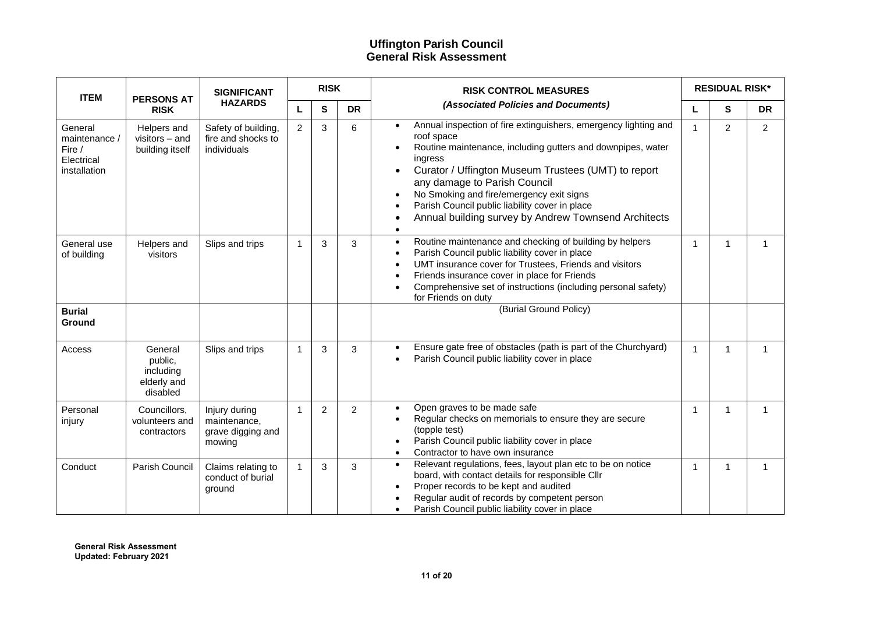| <b>ITEM</b>                                                      | <b>PERSONS AT</b>                                          | <b>SIGNIFICANT</b>                                           |                | <b>RISK</b>    |                | <b>RISK CONTROL MEASURES</b>                                                                                                                                                                                                                                                                                                                                                                                                                | <b>RESIDUAL RISK*</b> |                |                |  |
|------------------------------------------------------------------|------------------------------------------------------------|--------------------------------------------------------------|----------------|----------------|----------------|---------------------------------------------------------------------------------------------------------------------------------------------------------------------------------------------------------------------------------------------------------------------------------------------------------------------------------------------------------------------------------------------------------------------------------------------|-----------------------|----------------|----------------|--|
|                                                                  | <b>RISK</b>                                                | <b>HAZARDS</b>                                               | L              | S              | <b>DR</b>      | (Associated Policies and Documents)                                                                                                                                                                                                                                                                                                                                                                                                         | L                     | S              | <b>DR</b>      |  |
| General<br>maintenance /<br>Fire /<br>Electrical<br>installation | Helpers and<br>visitors $-$ and<br>building itself         | Safety of building,<br>fire and shocks to<br>individuals     | $\overline{2}$ | 3              | 6              | Annual inspection of fire extinguishers, emergency lighting and<br>$\bullet$<br>roof space<br>Routine maintenance, including gutters and downpipes, water<br>ingress<br>Curator / Uffington Museum Trustees (UMT) to report<br>$\bullet$<br>any damage to Parish Council<br>No Smoking and fire/emergency exit signs<br>Parish Council public liability cover in place<br>Annual building survey by Andrew Townsend Architects<br>$\bullet$ | 1                     | $\overline{2}$ | $\overline{2}$ |  |
| General use<br>of building<br><b>Burial</b><br>Ground            | Helpers and<br>visitors                                    | Slips and trips                                              | $\mathbf{1}$   | 3              | 3              | Routine maintenance and checking of building by helpers<br>$\bullet$<br>Parish Council public liability cover in place<br>UMT insurance cover for Trustees, Friends and visitors<br>Friends insurance cover in place for Friends<br>Comprehensive set of instructions (including personal safety)<br>for Friends on duty<br>(Burial Ground Policy)                                                                                          | -1                    | 1              | -1             |  |
| Access                                                           | General<br>public,<br>including<br>elderly and<br>disabled | Slips and trips                                              | $\mathbf{1}$   | 3              | 3              | Ensure gate free of obstacles (path is part of the Churchyard)<br>Parish Council public liability cover in place                                                                                                                                                                                                                                                                                                                            | 1                     | 1              | $\overline{1}$ |  |
| Personal<br>injury                                               | Councillors,<br>volunteers and<br>contractors              | Injury during<br>maintenance,<br>grave digging and<br>mowing | $\overline{1}$ | $\overline{2}$ | $\overline{2}$ | Open graves to be made safe<br>$\bullet$<br>Regular checks on memorials to ensure they are secure<br>(topple test)<br>Parish Council public liability cover in place<br>Contractor to have own insurance<br>$\bullet$                                                                                                                                                                                                                       | -1                    |                | -1             |  |
| Conduct                                                          | Parish Council                                             | Claims relating to<br>conduct of burial<br>ground            |                | 3              | 3              | Relevant regulations, fees, layout plan etc to be on notice<br>$\bullet$<br>board, with contact details for responsible Cllr<br>Proper records to be kept and audited<br>Regular audit of records by competent person<br>Parish Council public liability cover in place                                                                                                                                                                     | 1                     | 1              | $\overline{1}$ |  |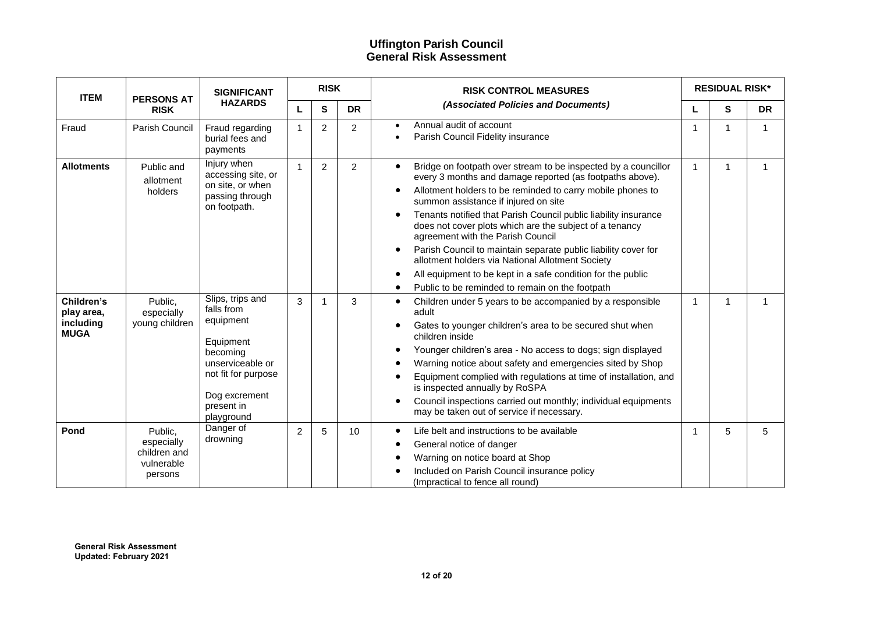| <b>ITEM</b>                                          | <b>PERSONS AT</b>                                              | <b>SIGNIFICANT</b><br><b>HAZARDS</b>                                                                                                                         | <b>RISK</b>    |                |                | <b>RISK CONTROL MEASURES</b>                                                                                                                                                                                                                                                                                                                                                                                                                                                                                                                                                                                                                                                       |             | <b>RESIDUAL RISK*</b> |           |  |  |
|------------------------------------------------------|----------------------------------------------------------------|--------------------------------------------------------------------------------------------------------------------------------------------------------------|----------------|----------------|----------------|------------------------------------------------------------------------------------------------------------------------------------------------------------------------------------------------------------------------------------------------------------------------------------------------------------------------------------------------------------------------------------------------------------------------------------------------------------------------------------------------------------------------------------------------------------------------------------------------------------------------------------------------------------------------------------|-------------|-----------------------|-----------|--|--|
|                                                      | <b>RISK</b>                                                    |                                                                                                                                                              |                | S              | <b>DR</b>      | (Associated Policies and Documents)                                                                                                                                                                                                                                                                                                                                                                                                                                                                                                                                                                                                                                                | L           | S                     | <b>DR</b> |  |  |
| Fraud                                                | Parish Council                                                 | Fraud regarding<br>burial fees and<br>payments                                                                                                               |                | $\overline{2}$ | 2              | Annual audit of account<br>$\bullet$<br>Parish Council Fidelity insurance                                                                                                                                                                                                                                                                                                                                                                                                                                                                                                                                                                                                          |             |                       |           |  |  |
| <b>Allotments</b>                                    | Public and<br>allotment<br>holders                             | Injury when<br>accessing site, or<br>on site, or when<br>passing through<br>on footpath.                                                                     |                | $\overline{2}$ | $\overline{2}$ | Bridge on footpath over stream to be inspected by a councillor<br>$\bullet$<br>every 3 months and damage reported (as footpaths above).<br>Allotment holders to be reminded to carry mobile phones to<br>$\bullet$<br>summon assistance if injured on site<br>Tenants notified that Parish Council public liability insurance<br>does not cover plots which are the subject of a tenancy<br>agreement with the Parish Council<br>Parish Council to maintain separate public liability cover for<br>allotment holders via National Allotment Society<br>All equipment to be kept in a safe condition for the public<br>Public to be reminded to remain on the footpath<br>$\bullet$ | $\mathbf 1$ | 1                     |           |  |  |
| Children's<br>play area,<br>including<br><b>MUGA</b> | Public,<br>especially<br>young children                        | Slips, trips and<br>falls from<br>equipment<br>Equipment<br>becoming<br>unserviceable or<br>not fit for purpose<br>Dog excrement<br>present in<br>playground | 3              |                | 3              | Children under 5 years to be accompanied by a responsible<br>$\bullet$<br>adult<br>Gates to younger children's area to be secured shut when<br>children inside<br>Younger children's area - No access to dogs; sign displayed<br>Warning notice about safety and emergencies sited by Shop<br>Equipment complied with regulations at time of installation, and<br>is inspected annually by RoSPA<br>Council inspections carried out monthly; individual equipments<br>may be taken out of service if necessary.                                                                                                                                                                    | $\mathbf 1$ |                       | -1        |  |  |
| Pond                                                 | Public,<br>especially<br>children and<br>vulnerable<br>persons | Danger of<br>drowning                                                                                                                                        | $\overline{2}$ | 5              | 10             | Life belt and instructions to be available<br>$\bullet$<br>General notice of danger<br>Warning on notice board at Shop<br>Included on Parish Council insurance policy<br>(Impractical to fence all round)                                                                                                                                                                                                                                                                                                                                                                                                                                                                          | -1          | 5                     | 5         |  |  |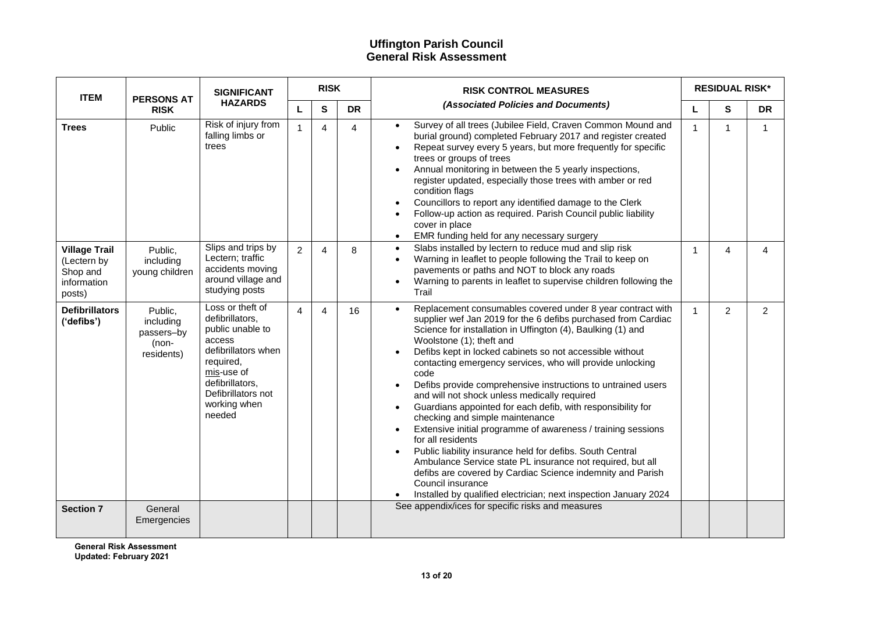| <b>ITEM</b>                                                              | <b>PERSONS AT</b>                                         | <b>SIGNIFICANT</b>                                                                                                                                                                     |                | <b>RISK</b>            |           | <b>RISK CONTROL MEASURES</b>                                                                                                                                                                                                                                                                                                                                                                                                                                                                                                                                                                                                                                                                                                                                                                                                                                                                                                                                               | <b>RESIDUAL RISK*</b> |                |                |
|--------------------------------------------------------------------------|-----------------------------------------------------------|----------------------------------------------------------------------------------------------------------------------------------------------------------------------------------------|----------------|------------------------|-----------|----------------------------------------------------------------------------------------------------------------------------------------------------------------------------------------------------------------------------------------------------------------------------------------------------------------------------------------------------------------------------------------------------------------------------------------------------------------------------------------------------------------------------------------------------------------------------------------------------------------------------------------------------------------------------------------------------------------------------------------------------------------------------------------------------------------------------------------------------------------------------------------------------------------------------------------------------------------------------|-----------------------|----------------|----------------|
|                                                                          | <b>RISK</b>                                               | <b>HAZARDS</b>                                                                                                                                                                         | L              | S                      | <b>DR</b> | (Associated Policies and Documents)                                                                                                                                                                                                                                                                                                                                                                                                                                                                                                                                                                                                                                                                                                                                                                                                                                                                                                                                        | L                     | S              | DR.            |
| Trees                                                                    | Public                                                    | Risk of injury from<br>falling limbs or<br>trees                                                                                                                                       |                | $\boldsymbol{\Lambda}$ | 4         | Survey of all trees (Jubilee Field, Craven Common Mound and<br>burial ground) completed February 2017 and register created<br>Repeat survey every 5 years, but more frequently for specific<br>trees or groups of trees<br>Annual monitoring in between the 5 yearly inspections,<br>register updated, especially those trees with amber or red<br>condition flags<br>Councillors to report any identified damage to the Clerk<br>Follow-up action as required. Parish Council public liability<br>cover in place<br>EMR funding held for any necessary surgery                                                                                                                                                                                                                                                                                                                                                                                                            | $\mathbf{1}$          | 1              | 1              |
| <b>Village Trail</b><br>(Lectern by<br>Shop and<br>information<br>posts) | Public,<br>including<br>young children                    | Slips and trips by<br>Lectern; traffic<br>accidents moving<br>around village and<br>studying posts                                                                                     | $\overline{2}$ | $\boldsymbol{\Lambda}$ | 8         | Slabs installed by lectern to reduce mud and slip risk<br>$\bullet$<br>Warning in leaflet to people following the Trail to keep on<br>$\bullet$<br>pavements or paths and NOT to block any roads<br>Warning to parents in leaflet to supervise children following the<br>$\bullet$<br>Trail                                                                                                                                                                                                                                                                                                                                                                                                                                                                                                                                                                                                                                                                                | $\overline{1}$        | 4              | 4              |
| <b>Defibrillators</b><br>('defibs')                                      | Public,<br>including<br>passers-by<br>(non-<br>residents) | Loss or theft of<br>defibrillators,<br>public unable to<br>access<br>defibrillators when<br>required,<br>mis-use of<br>defibrillators.<br>Defibrillators not<br>working when<br>needed | $\overline{4}$ | $\boldsymbol{\Lambda}$ | 16        | Replacement consumables covered under 8 year contract with<br>$\bullet$<br>supplier wef Jan 2019 for the 6 defibs purchased from Cardiac<br>Science for installation in Uffington (4), Baulking (1) and<br>Woolstone (1); theft and<br>Defibs kept in locked cabinets so not accessible without<br>contacting emergency services, who will provide unlocking<br>code<br>Defibs provide comprehensive instructions to untrained users<br>and will not shock unless medically required<br>Guardians appointed for each defib, with responsibility for<br>checking and simple maintenance<br>Extensive initial programme of awareness / training sessions<br>$\bullet$<br>for all residents<br>Public liability insurance held for defibs. South Central<br>Ambulance Service state PL insurance not required, but all<br>defibs are covered by Cardiac Science indemnity and Parish<br>Council insurance<br>Installed by qualified electrician; next inspection January 2024 | $\mathbf{1}$          | $\overline{2}$ | $\overline{2}$ |
| <b>Section 7</b>                                                         | General<br>Emergencies                                    |                                                                                                                                                                                        |                |                        |           | See appendix/ices for specific risks and measures                                                                                                                                                                                                                                                                                                                                                                                                                                                                                                                                                                                                                                                                                                                                                                                                                                                                                                                          |                       |                |                |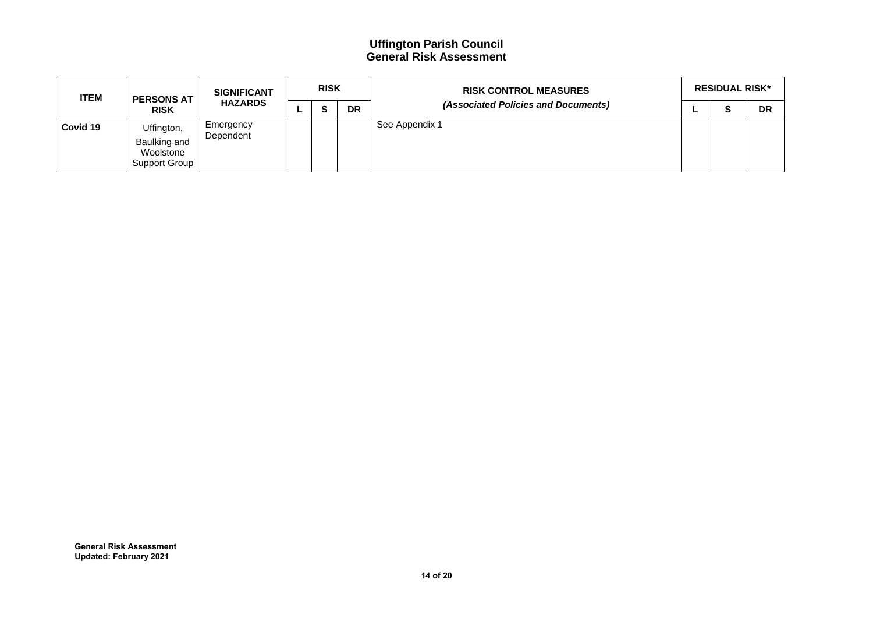| <b>ITEM</b> | <b>PERSONS AT</b><br><b>RISK</b>                         | <b>SIGNIFICANT</b><br><b>HAZARDS</b> | <b>RISK</b> |   |           | <b>RISK CONTROL MEASURES</b>        | <b>RESIDUAL RISK*</b> |  |           |
|-------------|----------------------------------------------------------|--------------------------------------|-------------|---|-----------|-------------------------------------|-----------------------|--|-----------|
|             |                                                          |                                      | -           | ъ | <b>DR</b> | (Associated Policies and Documents) |                       |  | <b>DR</b> |
| Covid 19    | Uffington,<br>Baulking and<br>Woolstone<br>Support Group | Emergency<br>Dependent               |             |   |           | See Appendix 1                      |                       |  |           |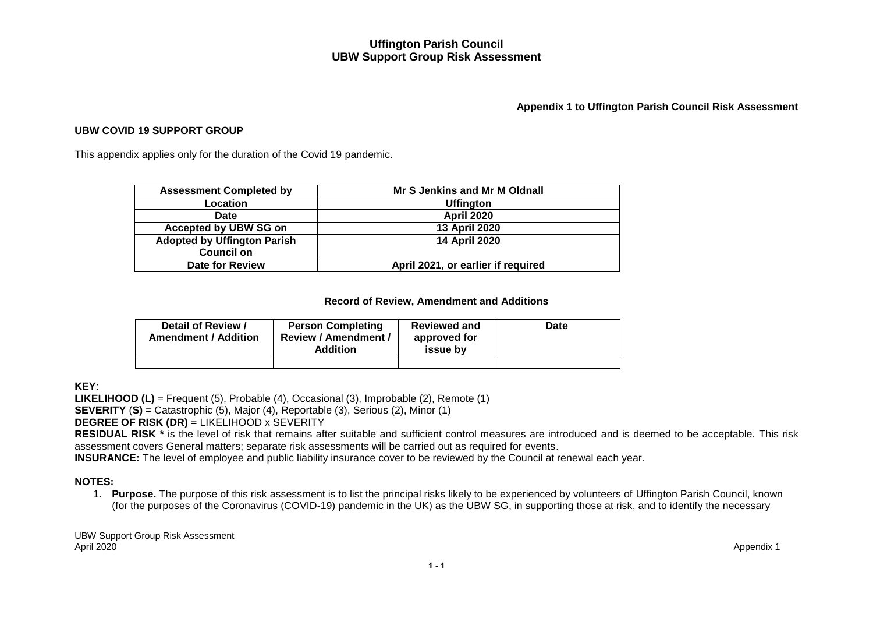**Appendix 1 to Uffington Parish Council Risk Assessment**

#### **UBW COVID 19 SUPPORT GROUP**

This appendix applies only for the duration of the Covid 19 pandemic.

| <b>Assessment Completed by</b>     | Mr S Jenkins and Mr M Oldnall      |
|------------------------------------|------------------------------------|
| <b>Location</b>                    | <b>Uffington</b>                   |
| Date                               | <b>April 2020</b>                  |
| <b>Accepted by UBW SG on</b>       | 13 April 2020                      |
| <b>Adopted by Uffington Parish</b> | 14 April 2020                      |
| <b>Council on</b>                  |                                    |
| <b>Date for Review</b>             | April 2021, or earlier if required |

#### **Record of Review, Amendment and Additions**

| Detail of Review /<br><b>Amendment / Addition</b> | <b>Person Completing</b><br><b>Review / Amendment /</b><br><b>Addition</b> | <b>Reviewed and</b><br>approved for<br>issue by | Date |
|---------------------------------------------------|----------------------------------------------------------------------------|-------------------------------------------------|------|
|                                                   |                                                                            |                                                 |      |

**KEY**:

**LIKELIHOOD (L)** = Frequent (5), Probable (4), Occasional (3), Improbable (2), Remote (1)

**SEVERITY** (**S)** = Catastrophic (5), Major (4), Reportable (3), Serious (2), Minor (1)

**DEGREE OF RISK (DR)** = LIKELIHOOD x SEVERITY

RESIDUAL RISK \* is the level of risk that remains after suitable and sufficient control measures are introduced and is deemed to be acceptable. This risk assessment covers General matters; separate risk assessments will be carried out as required for events.

**INSURANCE:** The level of employee and public liability insurance cover to be reviewed by the Council at renewal each year.

#### **NOTES:**

1. **Purpose.** The purpose of this risk assessment is to list the principal risks likely to be experienced by volunteers of Uffington Parish Council, known (for the purposes of the Coronavirus (COVID-19) pandemic in the UK) as the UBW SG, in supporting those at risk, and to identify the necessary

UBW Support Group Risk Assessment April 2020 Appendix 1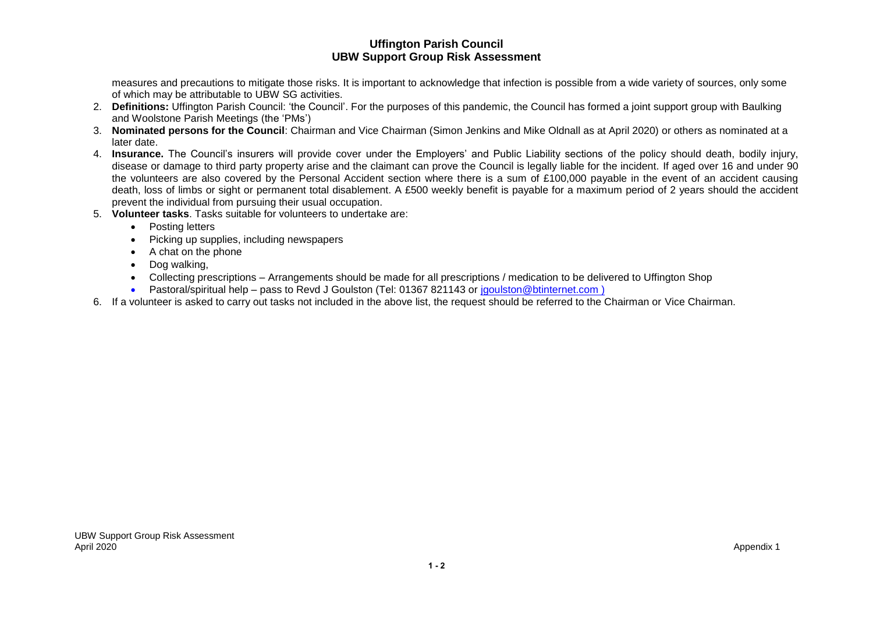measures and precautions to mitigate those risks. It is important to acknowledge that infection is possible from a wide variety of sources, only some of which may be attributable to UBW SG activities.

- 2. **Definitions:** Uffington Parish Council: 'the Council'. For the purposes of this pandemic, the Council has formed a joint support group with Baulking and Woolstone Parish Meetings (the 'PMs')
- 3. **Nominated persons for the Council**: Chairman and Vice Chairman (Simon Jenkins and Mike Oldnall as at April 2020) or others as nominated at a later date.
- 4. **Insurance.** The Council's insurers will provide cover under the Employers' and Public Liability sections of the policy should death, bodily injury, disease or damage to third party property arise and the claimant can prove the Council is legally liable for the incident. If aged over 16 and under 90 the volunteers are also covered by the Personal Accident section where there is a sum of £100,000 payable in the event of an accident causing death, loss of limbs or sight or permanent total disablement. A £500 weekly benefit is payable for a maximum period of 2 years should the accident prevent the individual from pursuing their usual occupation.
- 5. **Volunteer tasks**. Tasks suitable for volunteers to undertake are:
	- Posting letters
	- Picking up supplies, including newspapers
	- A chat on the phone
	- Dog walking,
	- Collecting prescriptions Arrangements should be made for all prescriptions / medication to be delivered to Uffington Shop
	- Pastoral/spiritual help pass to Revd J Goulston (Tel: 01367 821143 or [jgoulston@btinternet.com](mailto:jgoulston@btinternet.com) )
- 6. If a volunteer is asked to carry out tasks not included in the above list, the request should be referred to the Chairman or Vice Chairman.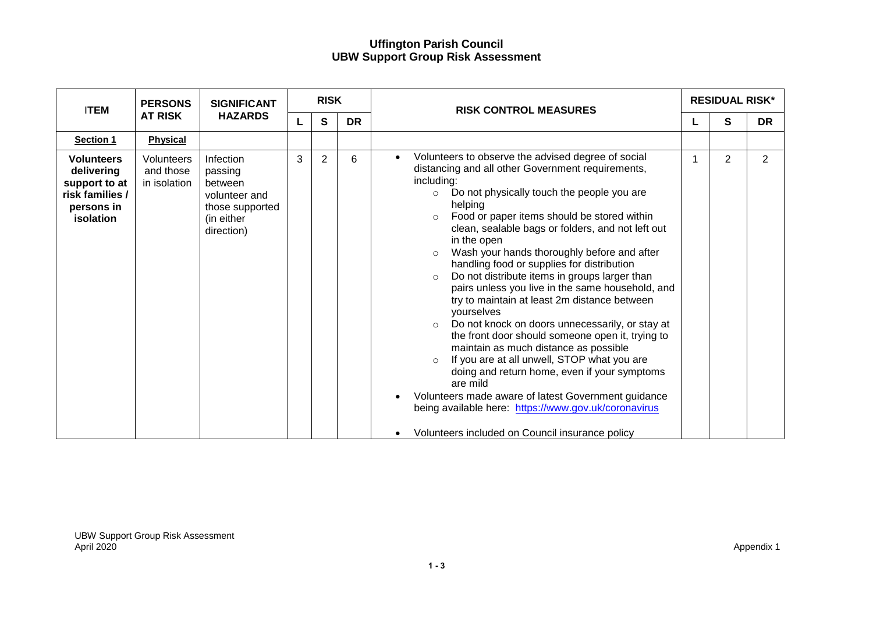| <b>ITEM</b>                                                                                    | <b>PERSONS</b>                          | <b>SIGNIFICANT</b>                                                                              |   | <b>RISK</b>    |           | <b>RISK CONTROL MEASURES</b>                                                                                                                                                                                                                                                                                                                                                                                                                                                                                                                                                                                                                                                                                                                                                                                                                                                                                                                                                                                                                                       | <b>RESIDUAL RISK*</b> |   |                |
|------------------------------------------------------------------------------------------------|-----------------------------------------|-------------------------------------------------------------------------------------------------|---|----------------|-----------|--------------------------------------------------------------------------------------------------------------------------------------------------------------------------------------------------------------------------------------------------------------------------------------------------------------------------------------------------------------------------------------------------------------------------------------------------------------------------------------------------------------------------------------------------------------------------------------------------------------------------------------------------------------------------------------------------------------------------------------------------------------------------------------------------------------------------------------------------------------------------------------------------------------------------------------------------------------------------------------------------------------------------------------------------------------------|-----------------------|---|----------------|
|                                                                                                | <b>AT RISK</b>                          | <b>HAZARDS</b>                                                                                  |   | $\mathbf{s}$   | <b>DR</b> |                                                                                                                                                                                                                                                                                                                                                                                                                                                                                                                                                                                                                                                                                                                                                                                                                                                                                                                                                                                                                                                                    |                       | S | <b>DR</b>      |
| <b>Section 1</b>                                                                               | <b>Physical</b>                         |                                                                                                 |   |                |           |                                                                                                                                                                                                                                                                                                                                                                                                                                                                                                                                                                                                                                                                                                                                                                                                                                                                                                                                                                                                                                                                    |                       |   |                |
| <b>Volunteers</b><br>delivering<br>support to at<br>risk families /<br>persons in<br>isolation | Volunteers<br>and those<br>in isolation | Infection<br>passing<br>between<br>volunteer and<br>those supported<br>(in either<br>direction) | 3 | $\overline{2}$ | 6         | Volunteers to observe the advised degree of social<br>$\bullet$<br>distancing and all other Government requirements,<br>including:<br>Do not physically touch the people you are<br>$\circ$<br>helping<br>Food or paper items should be stored within<br>$\circ$<br>clean, sealable bags or folders, and not left out<br>in the open<br>Wash your hands thoroughly before and after<br>$\circ$<br>handling food or supplies for distribution<br>Do not distribute items in groups larger than<br>$\circ$<br>pairs unless you live in the same household, and<br>try to maintain at least 2m distance between<br>yourselves<br>Do not knock on doors unnecessarily, or stay at<br>the front door should someone open it, trying to<br>maintain as much distance as possible<br>If you are at all unwell, STOP what you are<br>$\circ$<br>doing and return home, even if your symptoms<br>are mild<br>Volunteers made aware of latest Government guidance<br>being available here: https://www.gov.uk/coronavirus<br>Volunteers included on Council insurance policy |                       | 2 | $\overline{2}$ |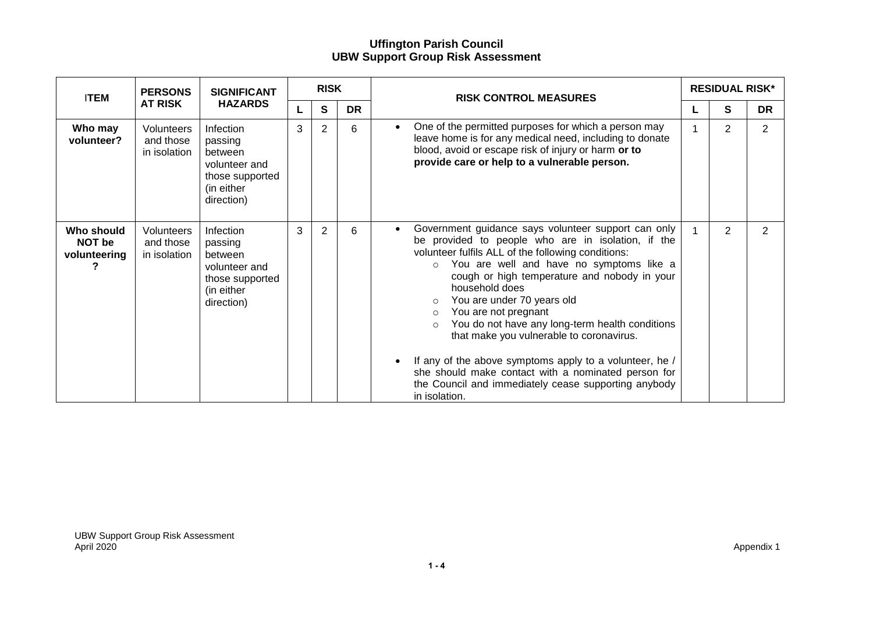| <b>ITEM</b>                          | <b>PERSONS</b>                                 | <b>SIGNIFICANT</b><br><b>HAZARDS</b>                                                            | <b>RISK</b> |                |           | <b>RISK CONTROL MEASURES</b>                                                                                                                                                                                                                                                                                                                                                                                                                                                                                                                                                                                                                                              |   | <b>RESIDUAL RISK*</b> |                |  |
|--------------------------------------|------------------------------------------------|-------------------------------------------------------------------------------------------------|-------------|----------------|-----------|---------------------------------------------------------------------------------------------------------------------------------------------------------------------------------------------------------------------------------------------------------------------------------------------------------------------------------------------------------------------------------------------------------------------------------------------------------------------------------------------------------------------------------------------------------------------------------------------------------------------------------------------------------------------------|---|-----------------------|----------------|--|
|                                      | <b>AT RISK</b>                                 |                                                                                                 |             | S              | <b>DR</b> |                                                                                                                                                                                                                                                                                                                                                                                                                                                                                                                                                                                                                                                                           | L | S                     | <b>DR</b>      |  |
| Who may<br>volunteer?                | Volunteers<br>and those<br>in isolation        | Infection<br>passing<br>between<br>volunteer and<br>those supported<br>(in either<br>direction) | 3           | 2              | 6         | One of the permitted purposes for which a person may<br>leave home is for any medical need, including to donate<br>blood, avoid or escape risk of injury or harm or to<br>provide care or help to a vulnerable person.                                                                                                                                                                                                                                                                                                                                                                                                                                                    |   | $\overline{2}$        | $\overline{2}$ |  |
| Who should<br>NOT be<br>volunteering | <b>Volunteers</b><br>and those<br>in isolation | Infection<br>passing<br>between<br>volunteer and<br>those supported<br>(in either<br>direction) | 3           | $\overline{2}$ | 6         | Government guidance says volunteer support can only<br>be provided to people who are in isolation, if the<br>volunteer fulfils ALL of the following conditions:<br>You are well and have no symptoms like a<br>$\circ$<br>cough or high temperature and nobody in your<br>household does<br>You are under 70 years old<br>$\circ$<br>You are not pregnant<br>$\circ$<br>You do not have any long-term health conditions<br>$\circ$<br>that make you vulnerable to coronavirus.<br>If any of the above symptoms apply to a volunteer, he /<br>she should make contact with a nominated person for<br>the Council and immediately cease supporting anybody<br>in isolation. |   | 2                     | $\overline{2}$ |  |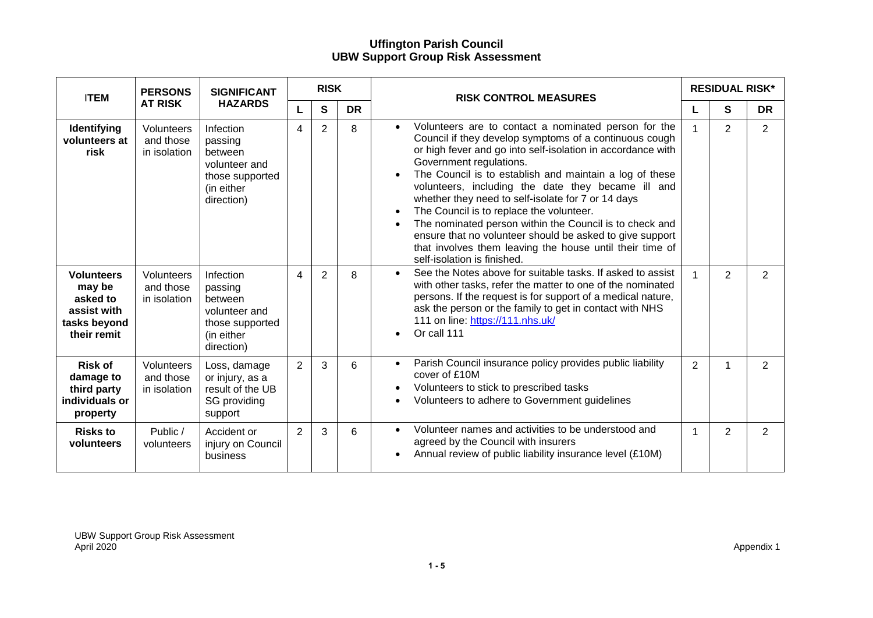| <b>ITEM</b>                                                                           | <b>PERSONS</b>                          | <b>SIGNIFICANT</b><br><b>HAZARDS</b>                                                            | <b>RISK</b>    |                |           | <b>RISK CONTROL MEASURES</b>                                                                                                                                                                                                                                                                                                                                                                                                                                                                                                                                                                                                                                            | <b>RESIDUAL RISK*</b> |                |                |  |
|---------------------------------------------------------------------------------------|-----------------------------------------|-------------------------------------------------------------------------------------------------|----------------|----------------|-----------|-------------------------------------------------------------------------------------------------------------------------------------------------------------------------------------------------------------------------------------------------------------------------------------------------------------------------------------------------------------------------------------------------------------------------------------------------------------------------------------------------------------------------------------------------------------------------------------------------------------------------------------------------------------------------|-----------------------|----------------|----------------|--|
|                                                                                       | <b>AT RISK</b>                          |                                                                                                 |                | $\mathbf{s}$   | <b>DR</b> |                                                                                                                                                                                                                                                                                                                                                                                                                                                                                                                                                                                                                                                                         | L                     | S              | <b>DR</b>      |  |
| Identifying<br>volunteers at<br>risk                                                  | Volunteers<br>and those<br>in isolation | Infection<br>passing<br>between<br>volunteer and<br>those supported<br>(in either<br>direction) | 4              | $\overline{2}$ | 8         | Volunteers are to contact a nominated person for the<br>$\bullet$<br>Council if they develop symptoms of a continuous cough<br>or high fever and go into self-isolation in accordance with<br>Government regulations.<br>The Council is to establish and maintain a log of these<br>volunteers, including the date they became ill and<br>whether they need to self-isolate for 7 or 14 days<br>The Council is to replace the volunteer.<br>$\bullet$<br>The nominated person within the Council is to check and<br>ensure that no volunteer should be asked to give support<br>that involves them leaving the house until their time of<br>self-isolation is finished. |                       | $\overline{2}$ | $\overline{2}$ |  |
| <b>Volunteers</b><br>may be<br>asked to<br>assist with<br>tasks beyond<br>their remit | Volunteers<br>and those<br>in isolation | Infection<br>passing<br>between<br>volunteer and<br>those supported<br>(in either<br>direction) | 4              | 2              | 8         | See the Notes above for suitable tasks. If asked to assist<br>$\bullet$<br>with other tasks, refer the matter to one of the nominated<br>persons. If the request is for support of a medical nature,<br>ask the person or the family to get in contact with NHS<br>111 on line: https://111.nhs.uk/<br>Or call 111                                                                                                                                                                                                                                                                                                                                                      |                       | $\mathcal{P}$  | 2              |  |
| <b>Risk of</b><br>damage to<br>third party<br>individuals or<br>property              | Volunteers<br>and those<br>in isolation | Loss, damage<br>or injury, as a<br>result of the UB<br>SG providing<br>support                  | 2              | 3              | 6         | Parish Council insurance policy provides public liability<br>$\bullet$<br>cover of £10M<br>Volunteers to stick to prescribed tasks<br>Volunteers to adhere to Government guidelines<br>$\bullet$                                                                                                                                                                                                                                                                                                                                                                                                                                                                        | $\overline{2}$        |                | $\overline{2}$ |  |
| <b>Risks to</b><br>volunteers                                                         | Public /<br>volunteers                  | Accident or<br>injury on Council<br>business                                                    | $\overline{2}$ | 3              | 6         | Volunteer names and activities to be understood and<br>agreed by the Council with insurers<br>Annual review of public liability insurance level (£10M)                                                                                                                                                                                                                                                                                                                                                                                                                                                                                                                  |                       | $\overline{2}$ | 2              |  |